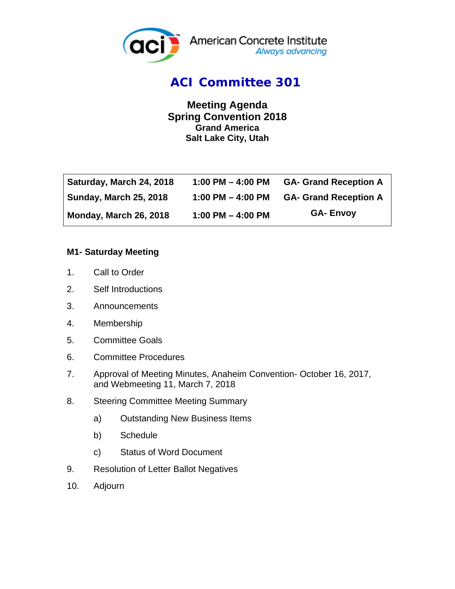

### *ACI Committee 301*

**Meeting Agenda Spring Convention 2018 Grand America Salt Lake City, Utah** 

| Saturday, March 24, 2018      | 1:00 PM $-$ 4:00 PM | <b>GA- Grand Reception A</b> |
|-------------------------------|---------------------|------------------------------|
| <b>Sunday, March 25, 2018</b> | 1:00 PM $-$ 4:00 PM | <b>GA- Grand Reception A</b> |
| Monday, March 26, 2018        | 1:00 PM $-$ 4:00 PM | <b>GA-Envoy</b>              |

#### **M1- Saturday Meeting**

- 1. Call to Order
- 2. Self Introductions
- 3. Announcements
- 4. Membership
- 5. Committee Goals
- 6. Committee Procedures
- 7. Approval of Meeting Minutes, Anaheim Convention- October 16, 2017, and Webmeeting 11, March 7, 2018
- 8. Steering Committee Meeting Summary
	- a) Outstanding New Business Items
	- b) Schedule
	- c) Status of Word Document
- 9. Resolution of Letter Ballot Negatives
- 10. Adjourn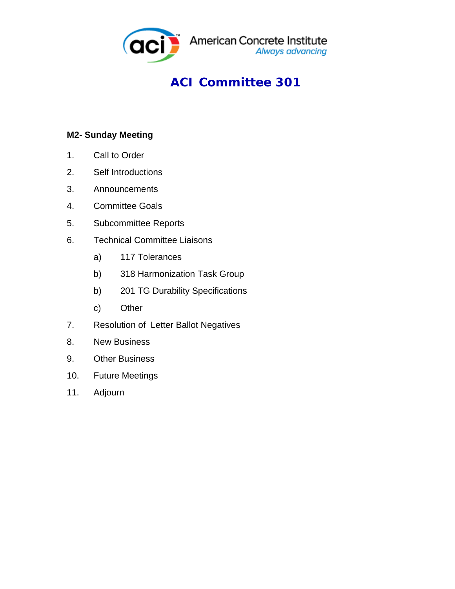

## *ACI Committee 301*

### **M2- Sunday Meeting**

- 1. Call to Order
- 2. Self Introductions
- 3. Announcements
- 4. Committee Goals
- 5. Subcommittee Reports
- 6. Technical Committee Liaisons
	- a) 117 Tolerances
	- b) 318 Harmonization Task Group
	- b) 201 TG Durability Specifications
	- c) Other
- 7. Resolution of Letter Ballot Negatives
- 8. New Business
- 9. Other Business
- 10. Future Meetings
- 11. Adjourn